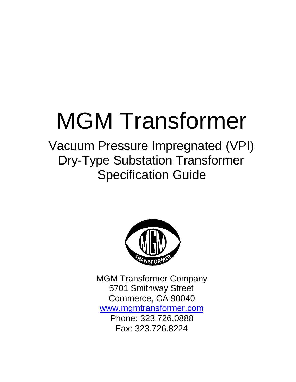# MGM Transformer

Vacuum Pressure Impregnated (VPI) Dry-Type Substation Transformer Specification Guide



MGM Transformer Company 5701 Smithway Street Commerce, CA 90040 www.mgmtransformer.com Phone: 323.726.0888 Fax: 323.726.8224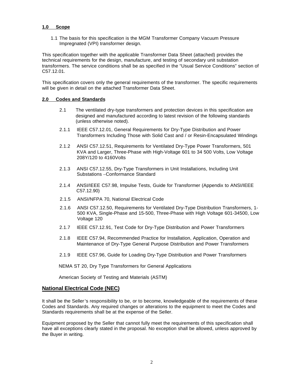#### **1.0 Scope**

1.1 The basis for this specification is the MGM Transformer Company Vacuum Pressure Impregnated (VPI) transformer design.

This specification together with the applicable Transformer Data Sheet (attached) provides the technical requirements for the design, manufacture, and testing of secondary unit substation transformers. The service conditions shall be as specified in the "Usual Service Conditions" section of C57.12.01.

This specification covers only the general requirements of the transformer. The specific requirements will be given in detail on the attached Transformer Data Sheet.

#### **2.0 Codes and Standards**

- 2.1 The ventilated dry-type transformers and protection devices in this specification are designed and manufactured according to latest revision of the following standards (unless otherwise noted).
- 2.1.1 IEEE C57.12.01, General Requirements for Dry-Type Distribution and Power Transformers Including Those with Solid Cast and / or Resin-Encapsulated Windings
- 2.1.2 ANSI C57.12.51, Requirements for Ventilated Dry-Type Power Transformers, 501 KVA and Larger, Three-Phase with High-Voltage 601 to 34 500 Volts, Low Voltage 208Y/120 to 4160Volts
- 2.1.3 ANSI C57.12.55, Dry-Type Transformers in Unit Installations, Including Unit Substations –Conformance Standard
- 2.1.4 ANSI/IEEE C57.98, Impulse Tests, Guide for Transformer (Appendix to ANSI/IEEE C57.12.90)
- 2.1.5 ANSI/NFPA 70, National Electrical Code
- 2.1.6 ANSI C57.12.50, Requirements for Ventilated Dry-Type Distribution Transformers, 1- 500 KVA, Single-Phase and 15-500, Three-Phase with High Voltage 601-34500, Low Voltage 120
- 2.1.7 IEEE C57.12.91, Test Code for Dry-Type Distribution and Power Transformers
- 2.1.8 IEEE C57.94, Recommended Practice for Installation, Application, Operation and Maintenance of Dry-Type General Purpose Distribution and Power Transformers
- 2.1.9 IEEE C57.96, Guide for Loading Dry-Type Distribution and Power Transformers

NEMA ST 20, Dry Type Transformers for General Applications

American Society of Testing and Materials (ASTM)

## **National Electrical Code (NEC)**

It shall be the Seller's responsibility to be, or to become, knowledgeable of the requirements of these Codes and Standards. Any required changes or alterations to the equipment to meet the Codes and Standards requirements shall be at the expense of the Seller.

Equipment proposed by the Seller that cannot fully meet the requirements of this specification shall have all exceptions clearly stated in the proposal. No exception shall be allowed, unless approved by the Buyer in writing.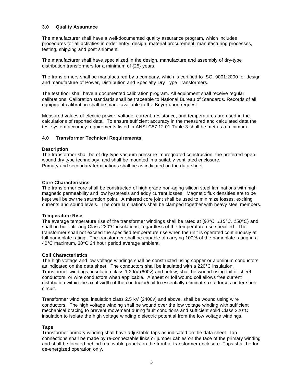#### **3.0 Quality Assurance**

The manufacturer shall have a well-documented quality assurance program, which includes procedures for all activities in order entry, design, material procurement, manufacturing processes, testing, shipping and post shipment.

The manufacturer shall have specialized in the design, manufacture and assembly of dry-type distribution transformers for a minimum of {25} years.

The transformers shall be manufactured by a company, which is certified to ISO, 9001:2000 for design and manufacture of Power, Distribution and Specialty Dry Type Transformers.

The test floor shall have a documented calibration program. All equipment shall receive regular calibrations. Calibration standards shall be traceable to National Bureau of Standards. Records of all equipment calibration shall be made available to the Buyer upon request.

Measured values of electric power, voltage, current, resistance, and temperatures are used in the calculations of reported data. To ensure sufficient accuracy in the measured and calculated data the test system accuracy requirements listed in ANSI C57.12.01 Table 3 shall be met as a minimum.

#### **4.0 Transformer Technical Requirements**

#### **Description**

The transformer shall be of dry type vacuum pressure impregnated construction, the preferred openwound dry type technology, and shall be mounted in a suitably ventilated enclosure. Primary and secondary terminations shall be as indicated on the data sheet

#### **Core Characteristics**

The transformer core shall be constructed of high grade non-aging silicon steel laminations with high magnetic permeability and low hysteresis and eddy current losses. Magnetic flux densities are to be kept well below the saturation point. A mitered core joint shall be used to minimize losses, exciting currents and sound levels. The core laminations shall be clamped together with heavy steel members.

#### **Temperature Rise**

The average temperature rise of the transformer windings shall be rated at (*80°C, 115°C, 150°C*) and shall be built utilizing Class 220°C insulations, regardless of the temperature rise specified. The transformer shall not exceed the specified temperature rise when the unit is operated continuously at full nameplate rating. The transformer shall be capable of carrying 100% of the nameplate rating in a 40°C maximum, 30°C 24 hour period average ambient.

#### **Coil Characteristics**

The high voltage and low voltage windings shall be constructed using copper or aluminum conductors as indicated on the data sheet. The conductors shall be insulated with a 220°C insulation. Transformer windings, insulation class 1.2 kV (600v) and below, shall be wound using foil or sheet conductors, or wire conductors when applicable. A sheet or foil wound coil allows free current distribution within the axial width of the conductor/coil to essentially eliminate axial forces under short circuit.

Transformer windings, insulation class 2.5 kV (2400v) and above, shall be wound using wire conductors. The high voltage winding shall be wound over the low voltage winding with sufficient mechanical bracing to prevent movement during fault conditions and sufficient solid Class 220°C insulation to isolate the high voltage winding dielectric potential from the low voltage windings.

#### **Taps**

Transformer primary winding shall have adjustable taps as indicated on the data sheet. Tap connections shall be made by re-connectable links or jumper cables on the face of the primary winding and shall be located behind removable panels on the front of transformer enclosure. Taps shall be for de-energized operation only.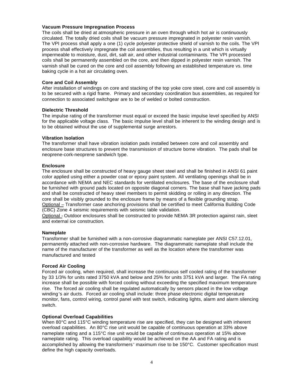#### **Vacuum Pressure Impregnation Process**

The coils shall be dried at atmospheric pressure in an oven through which hot air is continuously circulated. The totally dried coils shall be vacuum pressure impregnated in polyester resin varnish. The VPI process shall apply a one (1) cycle polyester protective shield of varnish to the coils. The VPI process shall effectively impregnate the coil assemblies, thus resulting in a unit which is virtually impermeable to moisture, dust, dirt, salt air, and other industrial contaminants. The VPI processed coils shall be permanently assembled on the core, and then dipped in polyester resin varnish. The varnish shall be cured on the core and coil assembly following an established temperature vs. time baking cycle in a hot air circulating oven.

#### **Core and Coil Assembly**

After installation of windings on core and stacking of the top yoke core steel, core and coil assembly is to be secured with a rigid frame. Primary and secondary coordination bus assemblies, as required for connection to associated switchgear are to be of welded or bolted construction.

#### **Dielectric Threshold**

The impulse rating of the transformer must equal or exceed the basic impulse level specified by ANSI for the applicable voltage class. The basic impulse level shall be inherent to the winding design and is to be obtained without the use of supplemental surge arrestors.

#### **Vibration Isolation**

The transformer shall have vibration isolation pads installed between core and coil assembly and enclosure base structures to prevent the transmission of structure borne vibration. The pads shall be neoprene-cork-neoprene sandwich type.

#### **Enclosure**

The enclosure shall be constructed of heavy gauge sheet steel and shall be finished in ANSI 61 paint color applied using either a powder coat or epoxy paint system. All ventilating openings shall be in accordance with NEMA and NEC standards for ventilated enclosures. The base of the enclosure shall be furnished with ground pads located on opposite diagonal corners. The base shall have jacking pads and shall be constructed of heavy steel members to permit skidding or rolling in any direction. The core shall be visibly grounded to the enclosure frame by means of a flexible grounding strap. Optional – Transformer case anchoring provisions shall be certified to meet California Building Code (CBC) Zone 4 seismic requirements with seismic table validation.

Optional - Outdoor enclosures shall be constructed to provide NEMA 3R protection against rain, sleet and external ice construction.

#### **Nameplate**

Transformer shall be furnished with a non-corrosive diagrammatic nameplate per ANSI C57.12.01, permanently attached with non-corrosive hardware. The diagrammatic nameplate shall include the name of the manufacturer of the transformer as well as the location where the transformer was manufactured and tested

#### **Forced Air Cooling**

Forced air cooling, when required, shall increase the continuous self cooled rating of the transformer by 33 1/3% for units rated 3750 kVA and below and 25% for units 3751 kVA and larger. The FA rating increase shall be possible with forced cooling without exceeding the specified maximum temperature rise. The forced air cooling shall be regulated automatically by sensors placed in the low voltage winding's air ducts. Forced air cooling shall include: three phase electronic digital temperature monitor, fans, control wiring, control panel with test switch, indicating lights, alarm and alarm silencing switch.

#### **Optional Overload Capabilities**

When 80°C and 115°C winding temperature rise are specified, they can be designed with inherent overload capabilities. An 80°C rise unit would be capable of continuous operation at 33% above nameplate rating and a 115°C rise unit would be capable of continuous operation at 15% above nameplate rating. This overload capability would be achieved on the AA and FA rating and is accomplished by allowing the transformers' maximum rise to be 150°C. Customer specification must define the high capacity overloads.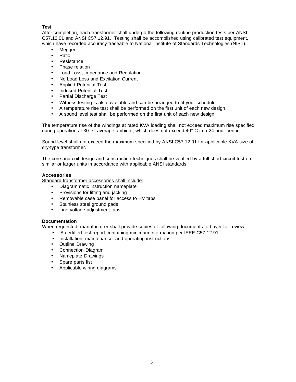# **Test**

After completion, each transformer shall undergo the following routine production tests per ANSI C57.12.01 and ANSI C57.12.91. Testing shall be accomplished using calibrated test equipment, which have recorded accuracy traceable to National Institute of Standards Technologies (NIST).

- Megger
- Ratio
- Resistance
- Phase relation
- Load Loss, Impedance and Regulation
- No Load Loss and Excitation Current
- Applied Potential Test
- Induced Potential Test
- Partial Discharge Test
- Witness testing is also available and can be arranged to fit your schedule
- A temperature rise test shall be performed on the first unit of each new design.
- A sound level test shall be performed on the first unit of each new design.

The temperature rise of the windings at rated KVA loading shall not exceed maximum rise specified during operation at 30° C average ambient, which does not exceed 40° C in a 24 hour period.

Sound level shall not exceed the maximum specified by ANSI C57.12.01 for applicable KVA size of dry-type transformer.

The core and coil design and construction techniques shall be verified by a full short circuit test on similar or larger units in accordance with applicable ANSI standards.

## **Accessories**

Standard transformer accessories shall include:

- Diagrammatic instruction nameplate
- Provisions for lifting and jacking
- Removable case panel for access to HV taps
- Stainless steel ground pads
- Line voltage adjustment taps

## **Documentation**

When requested, manufacturer shall provide copies of following documents to buyer for review

- A certified test report containing minimum information per IEEE C57.12.91
- Installation, maintenance, and operating instructions
- Outline Drawing
- Connection Diagram
- Nameplate Drawings
- Spare parts list
- Applicable wiring diagrams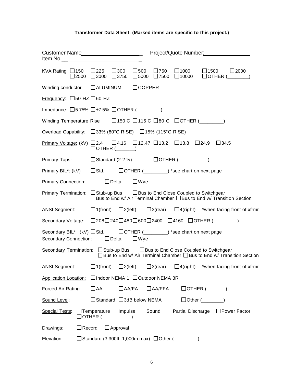# **Transformer Data Sheet: (Marked items are specific to this project.)**

| KVA Rating: $\Box$ 150 $\Box$ 225 $\Box$ 300 | $\square$ 500 $\square$ 750 $\square$ 1000 $\square$ 1500 $\square$ 2000<br>$\square$ 2500 $\square$ 3000 $\square$ 3750 $\square$ 5000 $\square$ 7500 $\square$ 10000 $\square$ OTHER ( ) |  |  |
|----------------------------------------------|--------------------------------------------------------------------------------------------------------------------------------------------------------------------------------------------|--|--|
|                                              | Winding conductor □ ALUMINUM □ COPPER                                                                                                                                                      |  |  |
| <u>Frequency:</u> $\Box$ 50 HZ $\Box$ 60 HZ  |                                                                                                                                                                                            |  |  |
|                                              | Impedance: $\Box$ 5.75% $\Box$ +7.5% $\Box$ OTHER (________)                                                                                                                               |  |  |
|                                              | Winding Temperature Rise: $\Box$ 150 C $\Box$ 115 C $\Box$ 80 C $\Box$ OTHER (                                                                                                             |  |  |
|                                              | <u>Overload Capability</u> : $\Box$ 33% (80 °C RISE) $\Box$ 15% (115 °C RISE)                                                                                                              |  |  |
|                                              | Primary Voltage: (kV) □ 2.4 □ 4.16 □ 12.47 □ 13.2 □ 13.8 □ 24.9 □ 34.5<br>$\Box$ OTHER (_______)                                                                                           |  |  |
|                                              | $\frac{\text{Primary Taps:}}{\text{Distance}}$ $\Box$ Standard (2-2 1/2) $\Box$ OTHER ( $\Box$                                                                                             |  |  |
|                                              | Primary BIL*: (kV) □ Std. □ OTHER (_________) *see chart on next page                                                                                                                      |  |  |
| <b>Primary Connection:</b>                   | $\Box$ Delta $\Box$ Wye                                                                                                                                                                    |  |  |
|                                              | Primary Termination: □ Stub-up Bus □ Bus to End Close Coupled to Switchgear<br>□ Bus to End w/ Air Terminal Chamber □ Bus to End w/ Transition Section                                     |  |  |
|                                              | ANSI Segment: $\Box$ 1(front) $\Box$ 2(left) $\Box$ 3(rear) $\Box$ 4(right) *when facing front of xfrmr                                                                                    |  |  |
|                                              | Secondary Voltage: □ 208□ 240□ 480□ 600□ 2400 □ 4160 □ OTHER (<br>208□ 240□ 600□ 2400 □ 4160 □ OTHER ( 2010                                                                                |  |  |
|                                              | Secondary BIL*: (kV) □ Std. □ □ OTHER (_________) *see chart on next page<br>Secondary Connection: □ Delta □ Wye                                                                           |  |  |
|                                              | Secondary Termination: □ Stub-up Bus □ Bus to End Close Coupled to Switchgear<br>□ Bus to End w/ Air Terminal Chamber □ Bus to End w/ Transition Section                                   |  |  |
| <b>ANSI Segment:</b>                         | □1(front) □2(left) □3(rear) □4(right) *when facing front of xfrmr                                                                                                                          |  |  |
|                                              | Application Location: □ Indoor NEMA 1 □ Outdoor NEMA 3R                                                                                                                                    |  |  |
| Forced Air Rating:                           | $\Box$ AA<br>$\Box$ AA/FA<br>$\Box$ AA/FFA<br>$\Box$ OTHER $(\_\_\_\_\_\_)\$                                                                                                               |  |  |
| Sound Level:                                 | $\Box$ Standard $\Box$ 3dB below NEMA<br>$\Box$ Other $(\_\_\_\_\_\_$                                                                                                                      |  |  |
|                                              | Special Tests: $\Box$ Temperature $\Box$ Impulse $\Box$ Sound $\Box$ Partial Discharge $\Box$ Power Factor<br>$\Box$ OTHER (__________)                                                    |  |  |
| $\Box$ Record<br>Drawings:                   | $\Box$ Approval                                                                                                                                                                            |  |  |
| Elevation:                                   | $\Box$ Standard (3,300ft, 1,000m max) $\Box$ Other (________)                                                                                                                              |  |  |